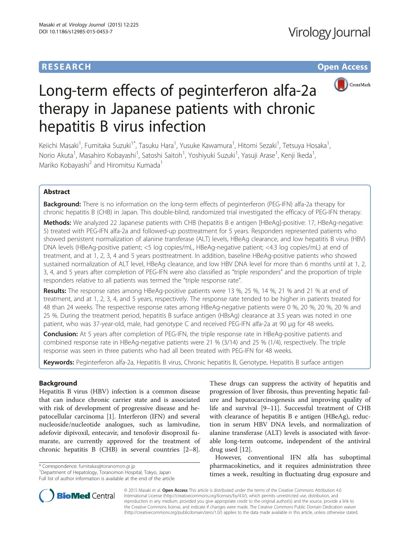# **RESEARCH CHINESE ARCH CHINESE ARCHITECT ARCHITECT ARCHITECT ARCHITECT ARCHITECT ARCHITECT ARCHITECT ARCHITECT ARCHITECT ARCHITECT ARCHITECT ARCHITECT ARCHITECT ARCHITECT ARCHITECT ARCHITECT ARCHITECT ARCHITECT ARCHITE**



# Long-term effects of peginterferon alfa-2a therapy in Japanese patients with chronic hepatitis B virus infection

Keiichi Masaki<sup>1</sup>, Fumitaka Suzuki<sup>1\*</sup>, Tasuku Hara<sup>1</sup>, Yusuke Kawamura<sup>1</sup>, Hitomi Sezaki<sup>1</sup>, Tetsuya Hosaka<sup>1</sup> , Norio Akuta<sup>1</sup>, Masahiro Kobayashi<sup>1</sup>, Satoshi Saitoh<sup>1</sup>, Yoshiyuki Suzuki<sup>1</sup>, Yasuji Arase<sup>1</sup>, Kenji Ikeda<sup>1</sup> , Mariko Kobayashi<sup>2</sup> and Hiromitsu Kumada<sup>1</sup>

# Abstract

**Background:** There is no information on the long-term effects of peginterferon (PEG-IFN) alfa-2a therapy for chronic hepatitis B (CHB) in Japan. This double-blind, randomized trial investigated the efficacy of PEG-IFN therapy.

Methods: We analyzed 22 Japanese patients with CHB (hepatitis B e antigen [HBeAg]-positive: 17, HBeAg-negative: 5) treated with PEG-IFN alfa-2a and followed-up posttreatment for 5 years. Responders represented patients who showed persistent normalization of alanine transferase (ALT) levels, HBeAg clearance, and low hepatitis B virus (HBV) DNA levels (HBeAg-positive patient; <5 log copies/mL, HBeAg-negative patient; <4.3 log copies/mL) at end of treatment, and at 1, 2, 3, 4 and 5 years posttreatment. In addition, baseline HBeAg-positive patients who showed sustained normalization of ALT level, HBeAg clearance, and low HBV DNA level for more than 6 months until at 1, 2, 3, 4, and 5 years after completion of PEG-IFN were also classified as "triple responders" and the proportion of triple responders relative to all patients was termed the "triple response rate".

Results: The response rates among HBeAg-positive patients were 13 %, 25 %, 14 %, 21 % and 21 % at end of treatment, and at 1, 2, 3, 4, and 5 years, respectively. The response rate tended to be higher in patients treated for 48 than 24 weeks. The respective response rates among HBeAg-negative patients were 0 %, 20 %, 20 %, 20 % and 25 %. During the treatment period, hepatitis B surface antigen (HBsAg) clearance at 3.5 years was noted in one patient, who was 37-year-old, male, had genotype C and received PEG-IFN alfa-2a at 90 μg for 48 weeks.

**Conclusion:** At 5 years after completion of PEG-IFN, the triple response rate in HBeAg-positive patients and combined response rate in HBeAg-negative patients were 21 % (3/14) and 25 % (1/4), respectively. The triple response was seen in three patients who had all been treated with PEG-IFN for 48 weeks.

Keywords: Peginterferon alfa-2a, Hepatitis B virus, Chronic hepatitis B, Genotype, Hepatitis B surface antigen

#### Background

Hepatitis B virus (HBV) infection is a common disease that can induce chronic carrier state and is associated with risk of development of progressive disease and hepatocellular carcinoma [\[1\]](#page-7-0). Interferon (IFN) and several nucleoside/nucleotide analogues, such as lamivudine, adefovir dipivoxil, entecavir, and tenofovir disoproxil fumarate, are currently approved for the treatment of chronic hepatitis B (CHB) in several countries [\[2](#page-7-0)–[8](#page-7-0)].

\* Correspondence: [fumitakas@toranomon.gr.jp](mailto:fumitakas@toranomon.gr.jp) <sup>1</sup>

Department of Hepatology, Toranomon Hospital, Tokyo, Japan Full list of author information is available at the end of the article

These drugs can suppress the activity of hepatitis and progression of liver fibrosis, thus preventing hepatic failure and hepatocarcinogenesis and improving quality of life and survival [\[9](#page-7-0)–[11\]](#page-7-0). Successful treatment of CHB with clearance of hepatitis B e antigen (HBeAg), reduction in serum HBV DNA levels, and normalization of alanine transferase (ALT) levels is associated with favorable long-term outcome, independent of the antiviral drug used [\[12](#page-7-0)].

However, conventional IFN alfa has suboptimal pharmacokinetics, and it requires administration three times a week, resulting in fluctuating drug exposure and



© 2015 Masaki et al. Open Access This article is distributed under the terms of the Creative Commons Attribution 4.0 International License [\(http://creativecommons.org/licenses/by/4.0/](http://creativecommons.org/licenses/by/4.0/)), which permits unrestricted use, distribution, and reproduction in any medium, provided you give appropriate credit to the original author(s) and the source, provide a link to the Creative Commons license, and indicate if changes were made. The Creative Commons Public Domain Dedication waiver [\(http://creativecommons.org/publicdomain/zero/1.0/](http://creativecommons.org/publicdomain/zero/1.0/)) applies to the data made available in this article, unless otherwise stated.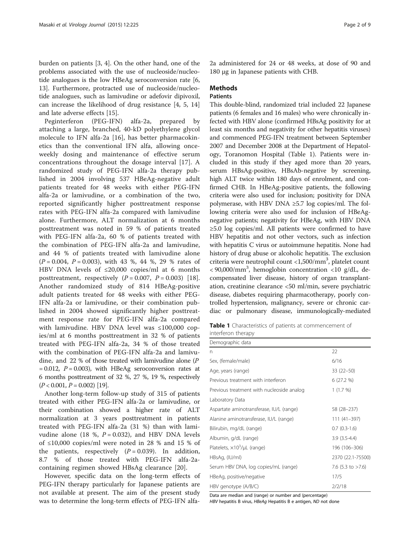<span id="page-1-0"></span>burden on patients [\[3](#page-7-0), [4\]](#page-7-0). On the other hand, one of the problems associated with the use of nucleoside/nucleotide analogues is the low HBeAg seroconversion rate [\[6](#page-7-0), [13\]](#page-8-0). Furthermore, protracted use of nucleoside/nucleotide analogues, such as lamivudine or adefovir dipivoxil, can increase the likelihood of drug resistance [\[4](#page-7-0), [5](#page-7-0), [14](#page-8-0)] and late adverse effects [[15](#page-8-0)].

Peginterferon (PEG-IFN) alfa-2a, prepared by attaching a large, branched, 40-kD polyethylene glycol molecule to IFN alfa-2a [\[16](#page-8-0)], has better pharmacokinetics than the conventional IFN alfa, allowing onceweekly dosing and maintenance of effective serum concentrations throughout the dosage interval [[17\]](#page-8-0). A randomized study of PEG-IFN alfa-2a therapy published in 2004 involving 537 HBeAg-negative adult patients treated for 48 weeks with either PEG-IFN alfa-2a or lamivudine, or a combination of the two, reported significantly higher posttreatment response rates with PEG-IFN alfa-2a compared with lamivudine alone. Furthermore, ALT normalization at 6 months posttreatment was noted in 59 % of patients treated with PEG-IFN alfa-2a, 60 % of patients treated with the combination of PEG-IFN alfa-2a and lamivudine, and 44 % of patients treated with lamivudine alone  $(P = 0.004, P = 0.003)$ , with 43 %, 44 %, 29 % rates of HBV DNA levels of  $\leq 20,000$  copies/ml at 6 months posttreatment, respectively  $(P = 0.007, P = 0.003)$  [\[18](#page-8-0)]. Another randomized study of 814 HBeAg-positive adult patients treated for 48 weeks with either PEG-IFN alfa-2a or lamivudine, or their combination published in 2004 showed significantly higher posttreatment response rate for PEG-IFN alfa-2a compared with lamivudine. HBV DNA level was ≤100,000 copies/ml at 6 months posttreatment in 32 % of patients treated with PEG-IFN alfa-2a, 34 % of those treated with the combination of PEG-IFN alfa-2a and lamivudine, and 22 % of those treated with lamivudine alone (P  $= 0.012$ ,  $P = 0.003$ ), with HBeAg seroconversion rates at 6 months posttreatment of 32 %, 27 %, 19 %, respectively  $(P < 0.001, P = 0.002)$  [[19](#page-8-0)].

Another long-term follow-up study of 315 of patients treated with either PEG-IFN alfa-2a or lamivudine, or their combination showed a higher rate of ALT normalization at 3 years posttreatment in patients treated with PEG-IFN alfa-2a (31 %) than with lamivudine alone (18 %,  $P = 0.032$ ), and HBV DNA levels of ≤10,000 copies/ml were noted in 28 % and 15 % of the patients, respectively  $(P = 0.039)$ . In addition, 8.7 % of those treated with PEG-IFN alfa-2acontaining regimen showed HBsAg clearance [[20\]](#page-8-0).

However, specific data on the long-term effects of PEG-IFN therapy particularly for Japanese patients are not available at present. The aim of the present study was to determine the long-term effects of PEG-IFN alfa2a administered for 24 or 48 weeks, at dose of 90 and 180 μg in Japanese patients with CHB.

#### Methods

## Patients

This double-blind, randomized trial included 22 Japanese patients (6 females and 16 males) who were chronically infected with HBV alone (confirmed HBsAg positivity for at least six months and negativity for other hepatitis viruses) and commenced PEG-IFN treatment between September 2007 and December 2008 at the Department of Hepatology, Toranomon Hospital (Table 1). Patients were included in this study if they aged more than 20 years, serum HBsAg-positive, HBsAb-negative by screening, high ALT twice within 180 days of enrolment, and confirmed CHB. In HBeAg-positive patients, the following criteria were also used for inclusion; positivity for DNA polymerase, with HBV DNA ≥5.7 log copies/ml. The following criteria were also used for inclusion of HBeAgnegative patients; negativity for HBeAg, with HBV DNA ≥5.0 log copies/ml. All patients were confirmed to have HBV hepatitis and not other vectors, such as infection with hepatitis C virus or autoimmune hepatitis. None had history of drug abuse or alcoholic hepatitis. The exclusion criteria were neutrophil count <1,500/mm3 , platelet count < 90,000/mm<sup>3</sup>, hemoglobin concentration <10 g/dL, decompensated liver disease, history of organ transplantation, creatinine clearance <50 ml/min, severe psychiatric disease, diabetes requiring pharmacotherapy, poorly controlled hypertension, malignancy, severe or chronic cardiac or pulmonary disease, immunologically-mediated

Table 1 Characteristics of patients at commencement of interferon therapy

| Demographic data                          |                      |
|-------------------------------------------|----------------------|
| n                                         | 22                   |
| Sex, (female/male)                        | 6/16                 |
| Age, years (range)                        | $33(22 - 50)$        |
| Previous treatment with interferon        | 6(27.2%)             |
| Previous treatment with nucleoside analog | 1(1.7%)              |
| Laboratory Data                           |                      |
| Aspartate aminotransferase, IU/L (range)  | 58 (28 - 237)        |
| Alanine aminotransferase, IU/L (range)    | $111(41-397)$        |
| Bilirubin, mg/dL (range)                  | $0.7$ $(0.3-1.6)$    |
| Albumin, g/dL (range)                     | $3.9(3.5-4.4)$       |
| Platelets, $\times 10^3/\mu L$ (range)    | 196 (106-306)        |
| HBsAg, (IU/ml)                            | 2370 (22.1-75500)    |
| Serum HBV DNA, log copies/mL (range)      | 7.6 (5.3 to $>7.6$ ) |
| HBeAg, positive/negative                  | 17/5                 |
| HBV genotype (A/B/C)                      | 2/2/18               |

Data are median and (range) or number and (percentage) HBV hepatitis B virus, HBeAg Hepatitis B e antigen, ND not done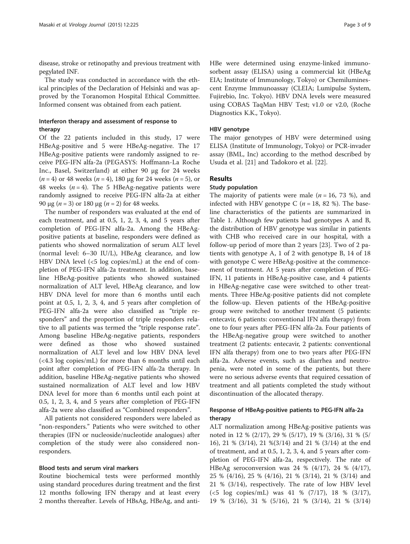disease, stroke or retinopathy and previous treatment with pegylated INF.

The study was conducted in accordance with the ethical principles of the Declaration of Helsinki and was approved by the Toranomon Hospital Ethical Committee. Informed consent was obtained from each patient.

#### Interferon therapy and assessment of response to therapy

Of the 22 patients included in this study, 17 were HBeAg-positive and 5 were HBeAg-negative. The 17 HBeAg-positive patients were randomly assigned to receive PEG-IFN alfa-2a (PEGASYS: Hoffmann-La Roche Inc., Basel, Switzerland) at either 90 μg for 24 weeks  $(n = 4)$  or 48 weeks  $(n = 4)$ , 180 µg for 24 weeks  $(n = 5)$ , or 48 weeks ( $n = 4$ ). The 5 HBeAg-negative patients were randomly assigned to receive PEG-IFN alfa-2a at either 90 μg (*n* = 3) or 180 μg (*n* = 2) for 48 weeks.

The number of responders was evaluated at the end of each treatment, and at 0.5, 1, 2, 3, 4, and 5 years after completion of PEG-IFN alfa-2a. Among the HBeAgpositive patients at baseline, responders were defined as patients who showed normalization of serum ALT level (normal level: 6–30 IU/L), HBeAg clearance, and low HBV DNA level (<5 log copies/mL) at the end of completion of PEG-IFN alfa-2a treatment. In addition, baseline HBeAg-positive patients who showed sustained normalization of ALT level, HBeAg clearance, and low HBV DNA level for more than 6 months until each point at 0.5, 1, 2, 3, 4, and 5 years after completion of PEG-IFN alfa-2a were also classified as "triple responders" and the proportion of triple responders relative to all patients was termed the "triple response rate". Among baseline HBeAg-negative patients, responders were defined as those who showed sustained normalization of ALT level and low HBV DNA level (<4.3 log copies/mL) for more than 6 months until each point after completion of PEG-IFN alfa-2a therapy. In addition, baseline HBeAg-negative patients who showed sustained normalization of ALT level and low HBV DNA level for more than 6 months until each point at 0.5, 1, 2, 3, 4, and 5 years after completion of PEG-IFN alfa-2a were also classified as "Combined responders".

All patients not considered responders were labeled as "non-responders." Patients who were switched to other therapies (IFN or nucleoside/nucleotide analogues) after completion of the study were also considered nonresponders.

#### Blood tests and serum viral markers

Routine biochemical tests were performed monthly using standard procedures during treatment and the first 12 months following IFN therapy and at least every 2 months thereafter. Levels of HBsAg, HBeAg, and antiHBe were determined using enzyme-linked immunosorbent assay (ELISA) using a commercial kit (HBeAg EIA; Institute of Immunology, Tokyo) or Chemiluminescent Enzyme Immunoassay (CLEIA; Lumipulse System, Fujirebio, Inc. Tokyo). HBV DNA levels were measured using COBAS TaqMan HBV Test; v1.0 or v2.0, (Roche Diagnostics K.K., Tokyo).

#### HBV genotype

The major genotypes of HBV were determined using ELISA (Institute of Immunology, Tokyo) or PCR-invader assay (BML, Inc) according to the method described by Usuda et al. [\[21\]](#page-8-0) and Tadokoro et al. [[22\]](#page-8-0).

#### Results

## Study population

The majority of patients were male  $(n = 16, 73, 9)$ , and infected with HBV genotype C ( $n = 18$ , 82 %). The baseline characteristics of the patients are summarized in Table [1.](#page-1-0) Although few patients had genotypes A and B, the distribution of HBV genotype was similar in patients with CHB who received care in our hospital, with a follow-up period of more than 2 years [\[23\]](#page-8-0). Two of 2 patients with genotype A, 1 of 2 with genotype B, 14 of 18 with genotype C were HBeAg-positive at the commencement of treatment. At 5 years after completion of PEG-IFN, 11 patients in HBeAg-positive case, and 4 patients in HBeAg-negative case were switched to other treatments. Three HBeAg-positive patients did not complete the follow-up. Eleven patients of the HBeAg-positive group were switched to another treatment (5 patients: entecavir, 6 patients: conventional IFN alfa therapy) from one to four years after PEG-IFN alfa-2a. Four patients of the HBeAg-negative group were switched to another treatment (2 patients: entecavir, 2 patients: conventional IFN alfa therapy) from one to two years after PEG-IFN alfa-2a. Adverse events, such as diarrhea and neutropenia, were noted in some of the patients, but there were no serious adverse events that required cessation of treatment and all patients completed the study without discontinuation of the allocated therapy.

#### Response of HBeAg-positive patients to PEG-IFN alfa-2a therapy

ALT normalization among HBeAg-positive patients was noted in 12 % (2/17), 29 % (5/17), 19 % (3/16), 31 % (5/ 16), 21 % (3/14), 21 %(3/14) and 21 % (3/14) at the end of treatment, and at 0.5, 1, 2, 3, 4, and 5 years after completion of PEG-IFN alfa-2a, respectively. The rate of HBeAg seroconversion was 24 % (4/17), 24 % (4/17), 25 % (4/16), 25 % (4/16), 21 % (3/14), 21 % (3/14) and 21 % (3/14), respectively. The rate of low HBV level (<5 log copies/mL) was 41 % (7/17), 18 % (3/17), 19 % (3/16), 31 % (5/16), 21 % (3/14), 21 % (3/14)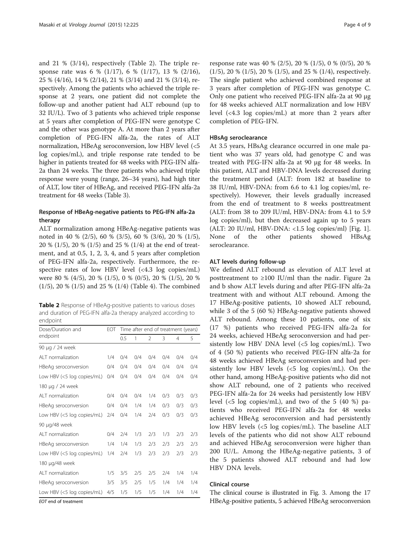and 21 % (3/14), respectively (Table 2). The triple response rate was 6 % (1/17), 6 % (1/17), 13 % (2/16), 25 % (4/16), 14 % (2/14), 21 % (3/14) and 21 % (3/14), respectively. Among the patients who achieved the triple response at 2 years, one patient did not complete the follow-up and another patient had ALT rebound (up to 32 IU/L). Two of 3 patients who achieved triple response at 5 years after completion of PEG-IFN were genotype C and the other was genotype A. At more than 2 years after completion of PEG-IFN alfa-2a, the rates of ALT normalization, HBeAg seroconversion, low HBV level (<5 log copies/mL), and triple response rate tended to be higher in patients treated for 48 weeks with PEG-IFN alfa-2a than 24 weeks. The three patients who achieved triple response were young (range, 26–34 years), had high titer of ALT, low titer of HBeAg, and received PEG-IFN alfa-2a treatment for 48 weeks (Table [3\)](#page-4-0).

#### Response of HBeAg-negative patients to PEG-IFN alfa-2a therapy

ALT normalization among HBeAg-negative patients was noted in 40 % (2/5), 60 % (3/5), 60 % (3/6), 20 % (1/5), 20 % (1/5), 20 % (1/5) and 25 % (1/4) at the end of treatment, and at 0.5, 1, 2, 3, 4, and 5 years after completion of PEG-IFN alfa-2a, respectively. Furthermore, the respective rates of low HBV level (<4.3 log copies/mL) were 80 % (4/5), 20 % (1/5), 0 % (0/5), 20 % (1/5), 20 % (1/5), 20 % (1/5) and 25 % (1/4) (Table [4\)](#page-4-0). The combined

Table 2 Response of HBeAg-positive patients to various doses and duration of PEG-IFN alfa-2a therapy analyzed according to endpoint

| Dose/Duration and           | <b>EOT</b> | Time after end of treatment (years) |     |               |     |     |     |  |
|-----------------------------|------------|-------------------------------------|-----|---------------|-----|-----|-----|--|
| endpoint                    |            | 0.5                                 | 1   | $\mathcal{P}$ | 3   | 4   | 5   |  |
| 90 µg / 24 week             |            |                                     |     |               |     |     |     |  |
| ALT normalization           | 1/4        | 0/4                                 | 0/4 | 0/4           | 0/4 | 0/4 | 0/4 |  |
| HBeAg seroconversion        | 0/4        | 0/4                                 | 0/4 | 0/4           | 0/4 | 0/4 | 0/4 |  |
| Low HBV (<5 log copies/mL)  | 0/4        | 0/4                                 | 0/4 | 0/4           | 0/4 | 0/4 | 0/4 |  |
| 180 µg / 24 week            |            |                                     |     |               |     |     |     |  |
| ALT normalization           | 0/4        | 0/4                                 | 0/4 | 1/4           | 0/3 | 0/3 | 0/3 |  |
| HBeAg seroconversion        | 0/4        | 0/4                                 | 1/4 | 1/4           | 0/3 | 0/3 | 0/3 |  |
| Low HBV (<5 log copies/mL)  | 2/4        | 0/4                                 | 1/4 | 2/4           | 0/3 | 0/3 | 0/3 |  |
| 90 µg/48 week               |            |                                     |     |               |     |     |     |  |
| ALT normalization           | 0/4        | 2/4                                 | 1/3 | 2/3           | 1/3 | 2/3 | 2/3 |  |
| HBeAg seroconversion        | 1/4        | 1/4                                 | 1/3 | 2/3           | 2/3 | 2/3 | 2/3 |  |
| Low HBV (<5 log copies/mL)  | 1/4        | 2/4                                 | 1/3 | 2/3           | 2/3 | 2/3 | 2/3 |  |
| 180 µg/48 week              |            |                                     |     |               |     |     |     |  |
| ALT normalization           | 1/5        | 3/5                                 | 2/5 | 2/5           | 2/4 | 1/4 | 1/4 |  |
| HBeAg seroconversion        | 3/5        | 3/5                                 | 2/5 | 1/5           | 1/4 | 1/4 | 1/4 |  |
| Low HBV (<5 log copies/mL)  | 4/5        | 1/5                                 | 1/5 | 1/5           | 1/4 | 1/4 | 1/4 |  |
| <b>EOT</b> end of treatment |            |                                     |     |               |     |     |     |  |

response rate was 40 % (2/5), 20 % (1/5), 0 % (0/5), 20 % (1/5), 20 % (1/5), 20 % (1/5), and 25 % (1/4), respectively. The single patient who achieved combined response at 3 years after completion of PEG-IFN was genotype C. Only one patient who received PEG-IFN alfa-2a at 90 μg for 48 weeks achieved ALT normalization and low HBV level (<4.3 log copies/mL) at more than 2 years after completion of PEG-IFN.

#### HBsAg seroclearance

At 3.5 years, HBsAg clearance occurred in one male patient who was 37 years old, had genotype C and was treated with PEG-IFN alfa-2a at 90 μg for 48 weeks. In this patient, ALT and HBV-DNA levels decreased during the treatment period (ALT: from 182 at baseline to 38 IU/ml, HBV-DNA: from 6.6 to 4.1 log copies/ml, respectively). However, their levels gradually increased from the end of treatment to 8 weeks posttreatment (ALT: from 38 to 209 IU/ml, HBV-DNA: from 4.1 to 5.9 log copies/ml), but then decreased again up to 5 years (ALT: 20 IU/ml, HBV-DNA: <1.5 log copies/ml) [Fig. [1](#page-5-0)]. None of the other patients showed HBsAg seroclearance.

#### ALT levels during follow-up

We defined ALT rebound as elevation of ALT level at posttreatment to ≥100 IU/ml than the nadir. Figure [2a](#page-5-0) [and b](#page-5-0) show ALT levels during and after PEG-IFN alfa-2a treatment with and without ALT rebound. Among the 17 HBeAg-positive patients, 10 showed ALT rebound, while 3 of the 5 (60 %) HBeAg-negative patients showed ALT rebound. Among these 10 patients, one of six (17 %) patients who received PEG-IFN alfa-2a for 24 weeks, achieved HBeAg seroconversion and had persistently low HBV DNA level  $\langle$  <5 log copies/mL). Two of 4 (50 %) patients who received PEG-IFN alfa-2a for 48 weeks achieved HBeAg seroconversion and had persistently low HBV levels (<5 log copies/mL). On the other hand, among HBeAg-positive patients who did not show ALT rebound, one of 2 patients who received PEG-IFN alfa-2a for 24 weeks had persistently low HBV level  $\langle$  <5 log copies/mL), and two of the 5 (40 %) patients who received PEG-IFN alfa-2a for 48 weeks achieved HBeAg seroconversion and had persistently low HBV levels (<5 log copies/mL). The baseline ALT levels of the patients who did not show ALT rebound and achieved HBeAg seroconversion were higher than 200 IU/L. Among the HBeAg-negative patients, 3 of the 5 patients showed ALT rebound and had low HBV DNA levels.

#### Clinical course

The clinical course is illustrated in Fig. [3.](#page-6-0) Among the 17 HBeAg-positive patients, 5 achieved HBeAg seroconversion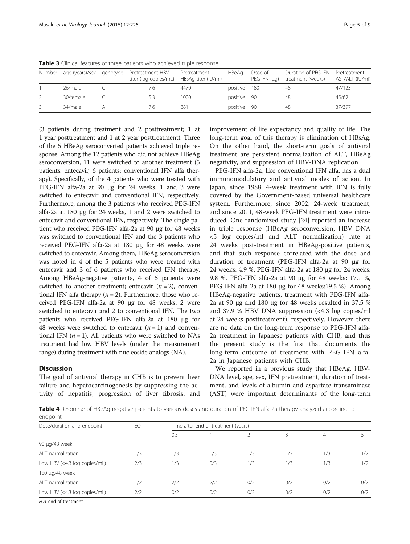| <b>TWATE</b> CHINGH TORONOS OF WHOO POWERTS THIS OCHIC FOR WIND TOSPONSE. |                          |  |                                           |                                     |              |                                 |                                          |                                 |  |  |
|---------------------------------------------------------------------------|--------------------------|--|-------------------------------------------|-------------------------------------|--------------|---------------------------------|------------------------------------------|---------------------------------|--|--|
| Number                                                                    | age (years)/sex genotype |  | Pretreatment HBV<br>titer (log copies/mL) | Pretreatment<br>HBsAg titer (IU/ml) | <b>HBeAa</b> | Dose of<br>$PEG-IFN$ ( $\mu$ g) | Duration of PEG-IFN<br>treatment (weeks) | Pretreatment<br>AST/ALT (IU/ml) |  |  |
|                                                                           | 26/male                  |  | 7.6                                       | 4470                                | positive     | - 180                           | 48                                       | 47/123                          |  |  |
|                                                                           | 30/female                |  | 5.3                                       | 1000                                | positive 90  |                                 | 48                                       | 45/62                           |  |  |
|                                                                           | 34/male                  |  | /6                                        | 881                                 | positive 90  |                                 | 48                                       | 37/397                          |  |  |

<span id="page-4-0"></span>Table 3 Clinical features of three patients who achieved triple response

(3 patients during treatment and 2 posttreatment; 1 at 1 year posttreatment and 1 at 2 year posttreatment). Three of the 5 HBeAg seroconverted patients achieved triple response. Among the 12 patients who did not achieve HBeAg seroconversion, 11 were switched to another treatment (5 patients: entecavir, 6 patients: conventional IFN alfa therapy). Specifically, of the 4 patients who were treated with PEG-IFN alfa-2a at 90 μg for 24 weeks, 1 and 3 were switched to entecavir and conventional IFN, respectively. Furthermore, among the 3 patients who received PEG-IFN alfa-2a at 180 μg for 24 weeks, 1 and 2 were switched to entecavir and conventional IFN, respectively. The single patient who received PEG-IFN alfa-2a at 90 μg for 48 weeks was switched to conventional IFN and the 3 patients who received PEG-IFN alfa-2a at 180 μg for 48 weeks were switched to entecavir. Among them, HBeAg seroconversion was noted in 4 of the 5 patients who were treated with entecavir and 3 of 6 patients who received IFN therapy. Among HBeAg-negative patients, 4 of 5 patients were switched to another treatment; entecavir  $(n = 2)$ , conventional IFN alfa therapy  $(n = 2)$ . Furthermore, those who received PEG-IFN alfa-2a at 90 μg for 48 weeks, 2 were switched to entecavir and 2 to conventional IFN. The two patients who received PEG-IFN alfa-2a at 180 μg for 48 weeks were switched to entecavir  $(n = 1)$  and conventional IFN  $(n = 1)$ . All patients who were switched to NAs treatment had low HBV levels (under the measurement range) during treatment with nucleoside analogs (NA).

#### **Discussion**

The goal of antiviral therapy in CHB is to prevent liver failure and hepatocarcinogenesis by suppressing the activity of hepatitis, progression of liver fibrosis, and improvement of life expectancy and quality of life. The long-term goal of this therapy is elimination of HBsAg. On the other hand, the short-term goals of antiviral treatment are persistent normalization of ALT, HBeAg negativity, and suppression of HBV-DNA replication.

PEG-IFN alfa-2a, like conventional IFN alfa, has a dual immunomodulatory and antiviral modes of action. In Japan, since 1988, 4-week treatment with IFN is fully covered by the Government-based universal healthcare system. Furthermore, since 2002, 24-week treatment, and since 2011, 48-week PEG-IFN treatment were introduced. One randomized study [[24\]](#page-8-0) reported an increase in triple response (HBeAg seroconversion, HBV DNA <5 log copies/ml and ALT normalization) rate at 24 weeks post-treatment in HBeAg-positive patients, and that such response correlated with the dose and duration of treatment (PEG-IFN alfa-2a at 90 μg for 24 weeks: 4.9 %, PEG-IFN alfa-2a at 180 μg for 24 weeks: 9.8 %, PEG-IFN alfa-2a at 90 μg for 48 weeks: 17.1 %, PEG-IFN alfa-2a at 180 μg for 48 weeks:19.5 %). Among HBeAg-negative patients, treatment with PEG-IFN alfa-2a at 90 μg and 180 μg for 48 weeks resulted in 37.5 % and 37.9 % HBV DNA suppression (<4.3 log copies/ml at 24 weeks posttreatment), respectively. However, there are no data on the long-term response to PEG-IFN alfa-2a treatment in Japanese patients with CHB, and thus the present study is the first that documents the long-term outcome of treatment with PEG-IFN alfa-2a in Japanese patients with CHB.

We reported in a previous study that HBeAg, HBV-DNA level, age, sex, IFN pretreatment, duration of treatment, and levels of albumin and aspartate transaminase (AST) were important determinants of the long-term

Table 4 Response of HBeAg-negative patients to various doses and duration of PEG-IFN alfa-2a therapy analyzed according to endpoint

| Dose/duration and endpoint   | EOT | Time after end of treatment (years) |     |     |     |     |     |  |  |
|------------------------------|-----|-------------------------------------|-----|-----|-----|-----|-----|--|--|
|                              |     | 0.5                                 |     |     | ₹   | 4   |     |  |  |
| 90 µg/48 week                |     |                                     |     |     |     |     |     |  |  |
| ALT normalization            | 1/3 | 1/3                                 | 1/3 | 1/3 | 1/3 | 1/3 | 1/2 |  |  |
| Low HBV (<4.3 log copies/mL) | 2/3 | 1/3                                 | 0/3 | 1/3 | 1/3 | 1/3 | 1/2 |  |  |
| 180 µg/48 week               |     |                                     |     |     |     |     |     |  |  |
| ALT normalization            | 1/2 | 2/2                                 | 2/2 | 0/2 | 0/2 | 0/2 | 0/2 |  |  |
| Low HBV (<4.3 log copies/mL) | 2/2 | 0/2                                 | 0/2 | 0/2 | 0/2 | 0/2 | 0/2 |  |  |
|                              |     |                                     |     |     |     |     |     |  |  |

EOT end of treatment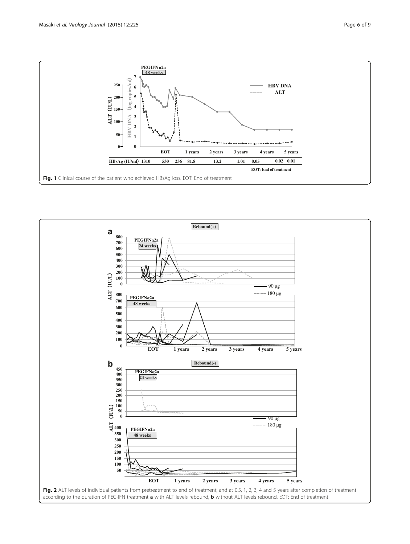<span id="page-5-0"></span>

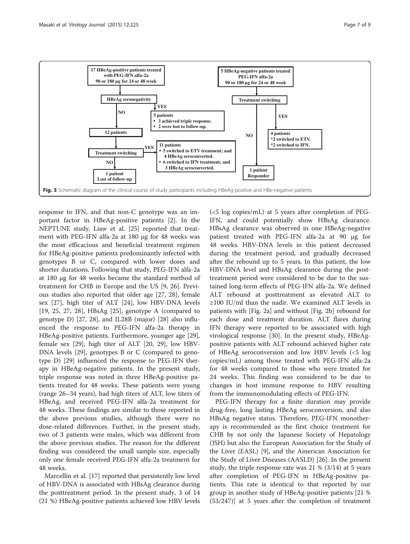

<span id="page-6-0"></span>

response to IFN, and that non-C genotype was an important factor in HBeAg-positive patients [\[2](#page-7-0)]. In the NEPTUNE study, Liaw et al. [[25\]](#page-8-0) reported that treatment with PEG-IFN alfa-2a at 180 μg for 48 weeks was the most efficacious and beneficial treatment regimen for HBeAg-positive patients predominantly infected with genotypes B or C, compared with lower doses and shorter durations. Following that study, PEG-IFN alfa-2a at 180 μg for 48 weeks became the standard method of treatment for CHB in Europe and the US [[9,](#page-7-0) [26](#page-8-0)]. Previous studies also reported that older age [\[27](#page-8-0), [28\]](#page-8-0), female sex [\[27](#page-8-0)], high titer of ALT [[24\]](#page-8-0), low HBV-DNA levels [[19, 25, 27, 28\]](#page-8-0), HBsAg [\[25](#page-8-0)], genotype A (compared to genotype D) [\[27](#page-8-0), [28\]](#page-8-0), and IL28B (major) [\[28](#page-8-0)] also influenced the response to PEG-IFN alfa-2a therapy in HBeAg-positive patients. Furthermore, younger age [\[29](#page-8-0)], female sex [[29\]](#page-8-0), high titer of ALT [[20](#page-8-0), [29\]](#page-8-0), low HBV-DNA levels [\[29](#page-8-0)], genotypes B or C (compared to genotype D) [[29](#page-8-0)] influenced the response to PEG-IFN therapy in HBeAg-negative patients. In the present study, triple response was noted in three HBeAg-positive patients treated for 48 weeks. These patients were young (range 26–34 years), had high titers of ALT, low titers of HBeAg, and received PEG-IFN alfa-2a treatment for 48 weeks. These findings are similar to those reported in the above previous studies, although there were no dose-related differences. Further, in the present study, two of 3 patients were males, which was different from the above previous studies. The reason for the different finding was considered the small sample size, especially only one female received PEG-IFN alfa-2a treatment for 48 weeks.

Marcellin et al. [\[17](#page-8-0)] reported that persistently low level of HBV-DNA is associated with HBsAg clearance during the posttreatment period. In the present study, 3 of 14 (21 %) HBeAg-positive patients achieved low HBV levels

 $(<5 \log \text{copies/mL})$  at 5 years after completion of PEG-IFN, and could potentially show HBsAg clearance. HBsAg clearance was observed in one HBeAg-negative patient treated with PEG-IFN alfa-2a at 90 μg for 48 weeks. HBV-DNA levels in this patient decreased during the treatment period, and gradually decreased after the rebound up to 5 years. In this patient, the low HBV-DNA level and HBsAg clearance during the posttreatment period were considered to be due to the sustained long-term effects of PEG-IFN alfa-2a. We defined ALT rebound at posttreatment as elevated ALT to ≥100 IU/ml than the nadir. We examined ALT levels in patients with [Fig. [2a\]](#page-5-0) and without [Fig. [2b\]](#page-5-0) rebound for each dose and treatment duration. ALT flares during IFN therapy were reported to be associated with high virological response [\[30\]](#page-8-0). In the present study, HBeAgpositive patients with ALT rebound achieved higher rate of HBeAg seroconversion and low HBV levels (<5 log copies/mL) among those treated with PEG-IFN alfa-2a for 48 weeks compared to those who were treated for 24 weeks. This finding was considered to be due to changes in host immune response to HBV resulting from the immunomodulating effects of PEG-IFN.

PEG-IFN therapy for a finite duration may provide drug-free, long lasting HBeAg seroconversion, and also HBsAg negative status. Therefore, PEG-IFN monotherapy is recommended as the first choice treatment for CHB by not only the Japanese Society of Hepatology (JSH) but also the European Association for the Study of the Liver (EASL) [\[9](#page-7-0)], and the American Association for the Study of Liver Diseases (AASLD) [[26\]](#page-8-0). In the present study, the triple response rate was 21 % (3/14) at 5 years after completion of PEG-IFN in HBeAg-positive patients. This rate is identical to that reported by our group in another study of HBeAg-positive patients [21 % (53/247)] at 5 years after the completion of treatment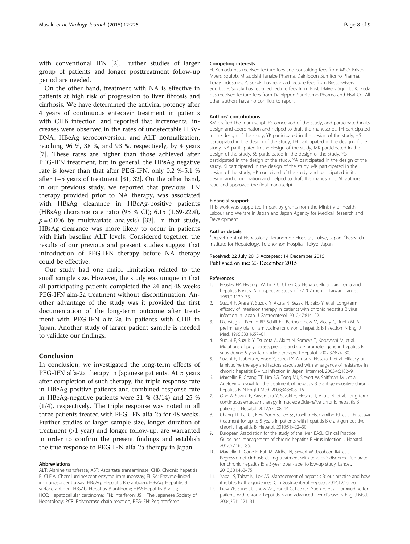<span id="page-7-0"></span>with conventional IFN [2]. Further studies of larger group of patients and longer posttreatment follow-up period are needed.

On the other hand, treatment with NA is effective in patients at high risk of progression to liver fibrosis and cirrhosis. We have determined the antiviral potency after 4 years of continuous entecavir treatment in patients with CHB infection, and reported that incremental increases were observed in the rates of undetectable HBV-DNA, HBeAg seroconversion, and ALT normalization, reaching 96 %, 38 %, and 93 %, respectively, by 4 years [7]. These rates are higher than those achieved after PEG-IFN treatment, but in general, the HBsAg negative rate is lower than that after PEG-IFN, only 0.2 %-5.1 % after 1–5 years of treatment [\[31, 32\]](#page-8-0). On the other hand, in our previous study, we reported that previous IFN therapy provided prior to NA therapy, was associated with HBsAg clearance in HBeAg-positive patients (HBsAg clearance rate ratio (95 % CI); 6.15 (1.69-22.4),  $p = 0.006$  by multivariate analysis) [[33](#page-8-0)]. In that study, HBsAg clearance was more likely to occur in patients with high baseline ALT levels. Considered together, the results of our previous and present studies suggest that introduction of PEG-IFN therapy before NA therapy could be effective.

Our study had one major limitation related to the small sample size. However, the study was unique in that all participating patients completed the 24 and 48 weeks PEG-IFN alfa-2a treatment without discontinuation. Another advantage of the study was it provided the first documentation of the long-term outcome after treatment with PEG-IFN alfa-2a in patients with CHB in Japan. Another study of larger patient sample is needed to validate our findings.

#### Conclusion

In conclusion, we investigated the long-term effects of PEG-IFN alfa-2a therapy in Japanese patients. At 5 years after completion of such therapy, the triple response rate in HBeAg-positive patients and combined response rate in HBeAg-negative patients were 21 % (3/14) and 25 % (1/4), respectively. The triple response was noted in all three patients treated with PEG-IFN alfa-2a for 48 weeks. Further studies of larger sample size, longer duration of treatment (>1 year) and longer follow-up, are warranted in order to confirm the present findings and establish the true response to PEG-IFN alfa-2a therapy in Japan.

#### Abbreviations

ALT: Alanine transferase; AST: Aspartate transaminase; CHB: Chronic hepatitis B; CLEIA: Chemiluminescent enzyme immunoassay; ELISA: Enzyme-linked immunosorbent assay; HBeAg: Hepatitis B e antigen; HBsAg: Hepatitis B surface antigen; HBsAb: Hepatitis B antibody; HBV: Hepatitis B virus; HCC: Hepatocellular carcinoma; IFN: Interferon; JSH: The Japanese Society of Hepatology; PCR: Polymerase chain reaction; PEG-IFN: Peginterferon.

#### Competing interests

H. Kumada has received lecture fees and consulting fees from MSD, Bristol-Myers Squibb, Mitsubishi Tanabe Pharma, Dainippon Sumitomo Pharma, Toray Industries. Y. Suzuki has received lecture fees from Bristol-Myers Squibb. F. Suzuki has received lecture fees from Bristol-Myers Squibb. K. Ikeda has received lecture fees from Dainippon Sumitomo Pharma and Eisai Co. All other authors have no conflicts to report.

#### Authors' contributions

KM drafted the manuscript, FS conceived of the study, and participated in its design and coordination and helped to draft the manuscript, TH participated in the design of the study, YK participated in the design of the study, HS participated in the design of the study, TH participated in the design of the study, NA participated in the design of the study, MK participated in the design of the study, SS participated in the design of the study, YS participated in the design of the study, YA participated in the design of the study, KI participated in the design of the study, MK participated in the design of the study, HK conceived of the study, and participated in its design and coordination and helped to draft the manuscript. All authors read and approved the final manuscript.

#### Financial support

This work was supported in part by grants from the Ministry of Health, Labour and Welfare in Japan and Japan Agency for Medical Research and Development.

#### Author details

<sup>1</sup>Department of Hepatology, Toranomon Hospital, Tokyo, Japan. <sup>2</sup>Research Institute for Hepatology, Toranomon Hospital, Tokyo, Japan.

# Received: 22 July 2015 Accepted: 14 December 2015<br>Published online: 23 December 2015

#### References

- 1. Beasley RP, Hwang LW, Lin CC, Chien CS. Hepatocellular carcinoma and hepatitis B virus. A prospective study of 22,707 men in Taiwan. Lancet. 1981;2:1129–33.
- 2. Suzuki F, Arase Y, Suzuki Y, Akuta N, Sezaki H, Seko Y, et al. Long-term efficacy of interferon therapy in patients with chronic hepatitis B virus infection in Japan. J Gastroenterol. 2012;47:814–22.
- 3. Dienstag JL, Perrillo RP, Schiff ER, Bartholomew M, Vicary C, Rubin M. A preliminary trial of lamivudine for chronic hepatitis B infection. N Engl J Med. 1995;333:1657–61.
- 4. Suzuki F, Suzuki Y, Tsubota A, Akuta N, Someya T, Kobayashi M, et al. Mutations of polymerase, precore and core promoter gene in hepatitis B virus during 5-year lamivudine therapy. J Hepatol. 2002;37:824–30.
- 5. Suzuki F, Tsubota A, Arase Y, Suzuki Y, Akuta N, Hosaka T, et al. Efficacy of lamivudine therapy and factors associated with emergence of resistance in chronic hepatitis B virus infection in Japan. Intervirol. 2003;46:182–9.
- 6. Marcellin P, Chang TT, Lim SG, Tong MJ, Sievert W, Shiffman ML, et al. Adefovir dipivoxil for the treatment of hepatitis B e antigen-positive chronic hepatitis B. N Engl J Med. 2003;348:808–16.
- 7. Ono A, Suzuki F, Kawamura Y, Sezaki H, Hosaka T, Akuta N, et al. Long-term continuous entecavir therapy in nucleos(t)ide-naïve chronic hepatitis B patients. J Hepatol. 2012;57:508–14.
- 8. Chang TT, Lai CL, Kew Yoon S, Lee SS, Coelho HS, Carrilho FJ, et al. Entecavir treatment for up to 5 years in patients with hepatitis B e antigen-positive chronic hepatitis B. Hepatol. 2010;51:422–30.
- 9. European Association for the study of the liver. EASL Clinical Practice Guidelines: management of chronic hepatitis B virus infection. J Hepatol. 2012;57:165–85.
- 10. Marcellin P, Gane E, Buti M, Afdhal N, Sievert W, Jacobson IM, et al. Regression of cirrhosis during treatment with tenofovir disoproxil fumarate for chronic hepatitis B: a 5-year open-label follow-up study. Lancet. 2013;381:468–75.
- 11. Yapali S, Talaat N, Lok AS. Management of hepatitis B: our practice and how it relates to the guidelines. Clin Gastroenterol Hepatol. 2014;12:16–26.
- 12. Liaw YF, Sung JJ, Chow WC, Farrell G, Lee CZ, Yuen H, et al. Lamivudine for patients with chronic hepatitis B and advanced liver disease. N Engl J Med. 2004;351:1521–31.